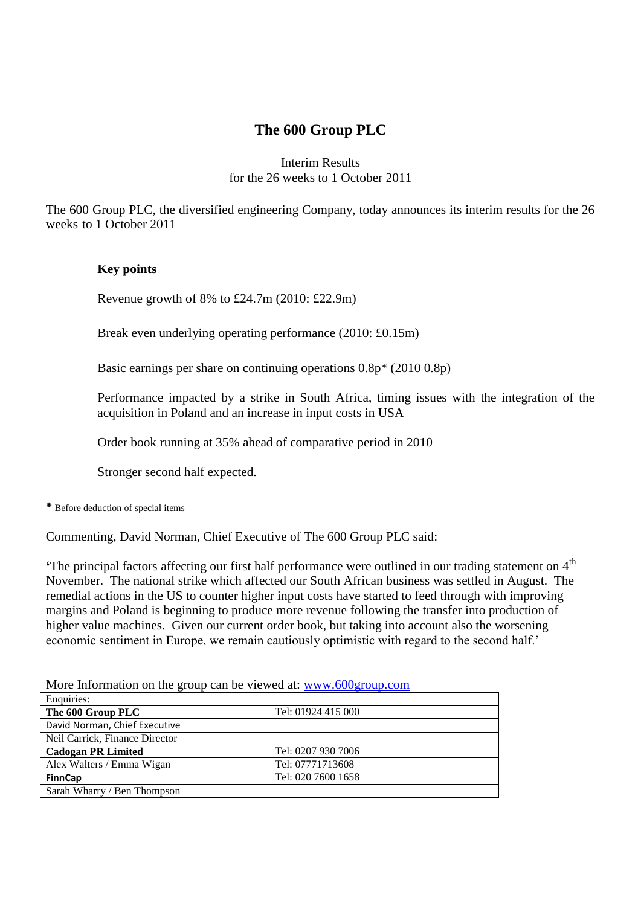# **The 600 Group PLC**

# Interim Results for the 26 weeks to 1 October 2011

The 600 Group PLC, the diversified engineering Company, today announces its interim results for the 26 weeks to 1 October 2011

# **Key points**

Revenue growth of 8% to £24.7m (2010: £22.9m)

Break even underlying operating performance (2010: £0.15m)

Basic earnings per share on continuing operations 0.8p\* (2010 0.8p)

Performance impacted by a strike in South Africa, timing issues with the integration of the acquisition in Poland and an increase in input costs in USA

Order book running at 35% ahead of comparative period in 2010

Stronger second half expected.

**\*** Before deduction of special items

Commenting, David Norman, Chief Executive of The 600 Group PLC said:

**The principal factors affecting our first half performance were outlined in our trading statement on 4<sup>th</sup>** November. The national strike which affected our South African business was settled in August. The remedial actions in the US to counter higher input costs have started to feed through with improving margins and Poland is beginning to produce more revenue following the transfer into production of higher value machines. Given our current order book, but taking into account also the worsening economic sentiment in Europe, we remain cautiously optimistic with regard to the second half.'

More Information on the group can be viewed at: [www.600group.com](http://www.600group.com/)

| Enquiries:                     |                    |
|--------------------------------|--------------------|
| The 600 Group PLC              | Tel: 01924 415 000 |
| David Norman, Chief Executive  |                    |
| Neil Carrick, Finance Director |                    |
| <b>Cadogan PR Limited</b>      | Tel: 0207 930 7006 |
| Alex Walters / Emma Wigan      | Tel: 07771713608   |
| <b>FinnCap</b>                 | Tel: 020 7600 1658 |
| Sarah Wharry / Ben Thompson    |                    |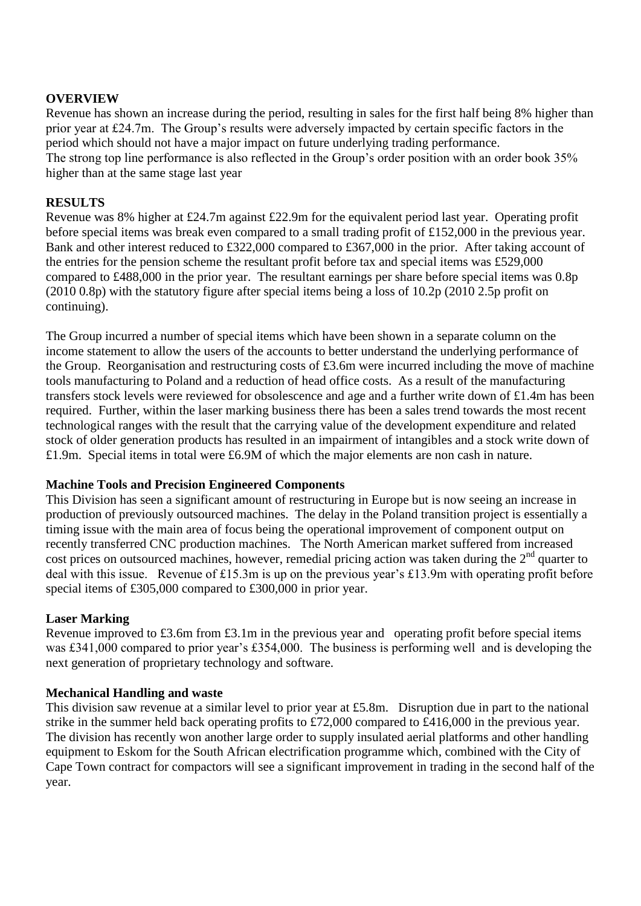# **OVERVIEW**

Revenue has shown an increase during the period, resulting in sales for the first half being 8% higher than prior year at £24.7m. The Group's results were adversely impacted by certain specific factors in the period which should not have a major impact on future underlying trading performance. The strong top line performance is also reflected in the Group's order position with an order book 35% higher than at the same stage last year

### **RESULTS**

Revenue was 8% higher at £24.7m against £22.9m for the equivalent period last year. Operating profit before special items was break even compared to a small trading profit of £152,000 in the previous year. Bank and other interest reduced to £322,000 compared to £367,000 in the prior. After taking account of the entries for the pension scheme the resultant profit before tax and special items was £529,000 compared to £488,000 in the prior year. The resultant earnings per share before special items was 0.8p (2010 0.8p) with the statutory figure after special items being a loss of 10.2p (2010 2.5p profit on continuing).

The Group incurred a number of special items which have been shown in a separate column on the income statement to allow the users of the accounts to better understand the underlying performance of the Group. Reorganisation and restructuring costs of £3.6m were incurred including the move of machine tools manufacturing to Poland and a reduction of head office costs. As a result of the manufacturing transfers stock levels were reviewed for obsolescence and age and a further write down of £1.4m has been required. Further, within the laser marking business there has been a sales trend towards the most recent technological ranges with the result that the carrying value of the development expenditure and related stock of older generation products has resulted in an impairment of intangibles and a stock write down of £1.9m. Special items in total were £6.9M of which the major elements are non cash in nature.

### **Machine Tools and Precision Engineered Components**

This Division has seen a significant amount of restructuring in Europe but is now seeing an increase in production of previously outsourced machines. The delay in the Poland transition project is essentially a timing issue with the main area of focus being the operational improvement of component output on recently transferred CNC production machines. The North American market suffered from increased cost prices on outsourced machines, however, remedial pricing action was taken during the 2<sup>nd</sup> quarter to deal with this issue. Revenue of £15.3m is up on the previous year's £13.9m with operating profit before special items of £305,000 compared to £300,000 in prior year.

# **Laser Marking**

Revenue improved to £3.6m from £3.1m in the previous year and operating profit before special items was £341,000 compared to prior year's £354,000. The business is performing well and is developing the next generation of proprietary technology and software.

### **Mechanical Handling and waste**

This division saw revenue at a similar level to prior year at £5.8m. Disruption due in part to the national strike in the summer held back operating profits to £72,000 compared to £416,000 in the previous year. The division has recently won another large order to supply insulated aerial platforms and other handling equipment to Eskom for the South African electrification programme which, combined with the City of Cape Town contract for compactors will see a significant improvement in trading in the second half of the year.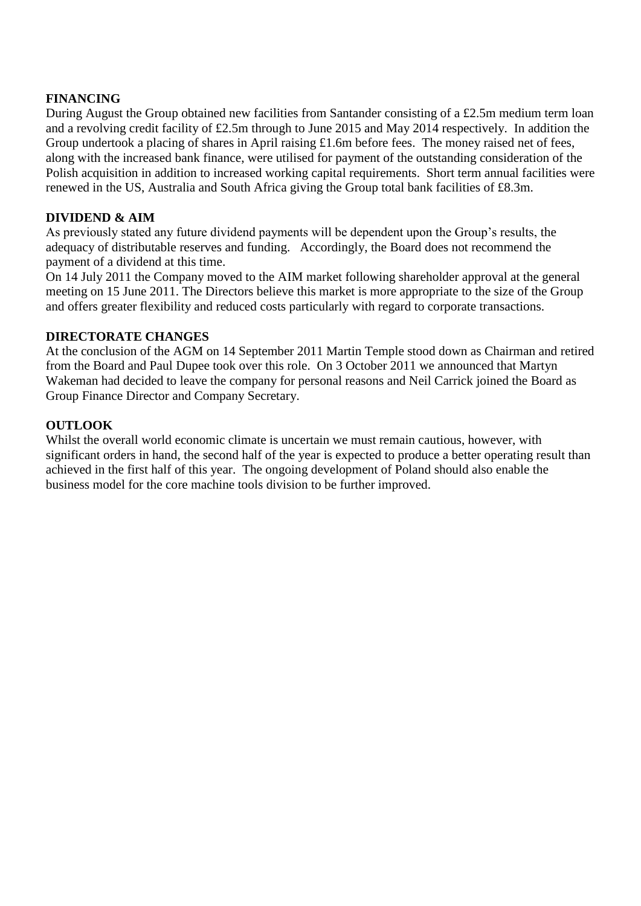# **FINANCING**

During August the Group obtained new facilities from Santander consisting of a £2.5m medium term loan and a revolving credit facility of £2.5m through to June 2015 and May 2014 respectively. In addition the Group undertook a placing of shares in April raising £1.6m before fees. The money raised net of fees, along with the increased bank finance, were utilised for payment of the outstanding consideration of the Polish acquisition in addition to increased working capital requirements. Short term annual facilities were renewed in the US, Australia and South Africa giving the Group total bank facilities of £8.3m.

### **DIVIDEND & AIM**

As previously stated any future dividend payments will be dependent upon the Group's results, the adequacy of distributable reserves and funding. Accordingly, the Board does not recommend the payment of a dividend at this time.

On 14 July 2011 the Company moved to the AIM market following shareholder approval at the general meeting on 15 June 2011. The Directors believe this market is more appropriate to the size of the Group and offers greater flexibility and reduced costs particularly with regard to corporate transactions.

### **DIRECTORATE CHANGES**

At the conclusion of the AGM on 14 September 2011 Martin Temple stood down as Chairman and retired from the Board and Paul Dupee took over this role. On 3 October 2011 we announced that Martyn Wakeman had decided to leave the company for personal reasons and Neil Carrick joined the Board as Group Finance Director and Company Secretary.

### **OUTLOOK**

Whilst the overall world economic climate is uncertain we must remain cautious, however, with significant orders in hand, the second half of the year is expected to produce a better operating result than achieved in the first half of this year. The ongoing development of Poland should also enable the business model for the core machine tools division to be further improved.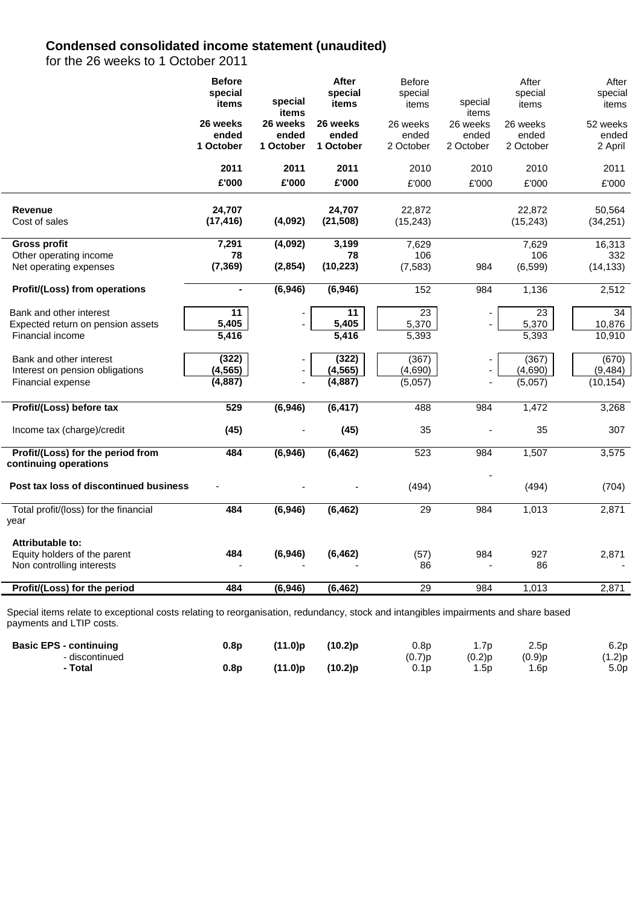#### **Condensed consolidated income statement (unaudited)**

for the 26 weeks to 1 October 2011

| special                                                           |                    | special            | <b>Before</b><br>special |                    | After<br>special   | After<br>special |
|-------------------------------------------------------------------|--------------------|--------------------|--------------------------|--------------------|--------------------|------------------|
| items                                                             | special<br>items   | items              | items                    | special<br>items   | items              | items            |
| 26 weeks                                                          | 26 weeks           | 26 weeks           | 26 weeks                 | 26 weeks           | 26 weeks           | 52 weeks         |
| ended<br>1 October                                                | ended<br>1 October | ended<br>1 October | ended<br>2 October       | ended<br>2 October | ended<br>2 October | ended<br>2 April |
|                                                                   |                    |                    |                          |                    |                    |                  |
| 2011<br>£'000                                                     | 2011<br>£'000      | 2011<br>£'000      | 2010<br>£'000            | 2010<br>£'000      | 2010<br>£'000      | 2011<br>£'000    |
|                                                                   |                    |                    |                          |                    |                    |                  |
| 24,707<br><b>Revenue</b>                                          |                    | 24,707             | 22,872                   |                    | 22,872             | 50,564           |
| (17, 416)<br>Cost of sales                                        | (4,092)            | (21, 508)          | (15, 243)                |                    | (15, 243)          | (34, 251)        |
| <b>Gross profit</b><br>7,291                                      | (4,092)            | 3,199              | 7,629                    |                    | 7,629              | 16,313           |
| 78<br>Other operating income                                      |                    | 78                 | 106                      |                    | 106                | 332              |
| (7, 369)<br>Net operating expenses                                | (2, 854)           | (10, 223)          | (7, 583)                 | 984                | (6, 599)           | (14, 133)        |
| Profit/(Loss) from operations<br>Ξ.                               | (6, 946)           | (6,946)            | 152                      | 984                | 1,136              | 2,512            |
| $\overline{11}$<br>Bank and other interest                        |                    | 11                 | 23                       |                    | 23                 | 34               |
| 5,405<br>Expected return on pension assets                        |                    | 5,405              | 5,370                    |                    | 5,370              | 10,876           |
| 5,416<br>Financial income                                         |                    | 5,416              | 5,393                    |                    | 5,393              | 10,910           |
| (322)<br>Bank and other interest                                  |                    | (322)              | (367)                    | ۰.                 | (367)              | (670)            |
| (4, 565)<br>Interest on pension obligations                       |                    | (4, 565)           | (4,690)                  |                    | (4,690)            | (9, 484)         |
| (4, 887)<br>Financial expense                                     |                    | (4, 887)           | (5,057)                  |                    | (5,057)            | (10, 154)        |
| Profit/(Loss) before tax<br>529                                   | (6,946)            | (6, 417)           | 488                      | 984                | 1,472              | 3,268            |
| (45)<br>Income tax (charge)/credit                                |                    | (45)               | 35                       |                    | 35                 | 307              |
| Profit/(Loss) for the period from<br>484<br>continuing operations | (6,946)            | (6, 462)           | 523                      | 984                | 1,507              | 3,575            |
| Post tax loss of discontinued business                            |                    |                    | (494)                    |                    | (494)              | (704)            |
| 484<br>Total profit/(loss) for the financial<br>year              | (6,946)            | (6, 462)           | 29                       | 984                | 1,013              | 2,871            |
| Attributable to:                                                  |                    |                    |                          |                    |                    |                  |
| 484<br>Equity holders of the parent                               | (6,946)            | (6, 462)           | (57)                     | 984                | 927                | 2,871            |
| Non controlling interests                                         |                    |                    | 86                       |                    | 86                 |                  |
| Profit/(Loss) for the period<br>484                               | (6, 946)           | (6, 462)           | 29                       | 984                | 1,013              | 2,871            |

Special items relate to exceptional costs relating to reorganisation, redundancy, stock and intangibles impairments and share based payments and LTIP costs.

| <b>Basic EPS - continuing</b> | 0.8p | (11.0)p    | $(10.2)$ p | 0.8p   | . .7p     | 2.5p   | 6.2p             |
|-------------------------------|------|------------|------------|--------|-----------|--------|------------------|
| - discontinued                |      |            |            | (0.7)p | $(0.2)$ p | (0.9)p | (1.2)p           |
| Total                         | 0.8p | $(11.0)$ p | $(10.2)$ p | 0.1p   | 1.5p      | .6p    | 5.0 <sub>p</sub> |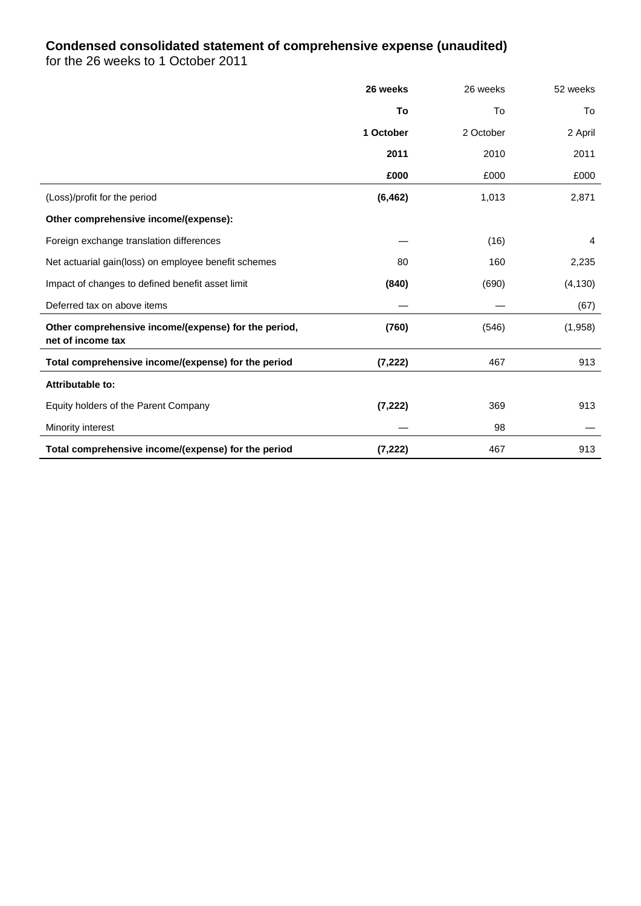### **Condensed consolidated statement of comprehensive expense (unaudited)**

for the 26 weeks to 1 October 2011

|                                                                           | 26 weeks  | 26 weeks  |          |  |
|---------------------------------------------------------------------------|-----------|-----------|----------|--|
|                                                                           | To        | To        | To       |  |
|                                                                           | 1 October | 2 October | 2 April  |  |
|                                                                           | 2011      | 2010      | 2011     |  |
|                                                                           | £000      | £000      | £000     |  |
| (Loss)/profit for the period                                              | (6, 462)  | 1,013     | 2,871    |  |
| Other comprehensive income/(expense):                                     |           |           |          |  |
| Foreign exchange translation differences                                  |           | (16)      | 4        |  |
| Net actuarial gain(loss) on employee benefit schemes                      | 80        | 160       | 2,235    |  |
| Impact of changes to defined benefit asset limit                          | (840)     | (690)     | (4, 130) |  |
| Deferred tax on above items                                               |           |           | (67)     |  |
| Other comprehensive income/(expense) for the period,<br>net of income tax | (760)     | (546)     | (1,958)  |  |
| Total comprehensive income/(expense) for the period                       | (7, 222)  | 467       | 913      |  |
| Attributable to:                                                          |           |           |          |  |
| Equity holders of the Parent Company                                      | (7, 222)  | 369       | 913      |  |
| Minority interest                                                         |           | 98        |          |  |
| Total comprehensive income/(expense) for the period                       | (7, 222)  | 467       | 913      |  |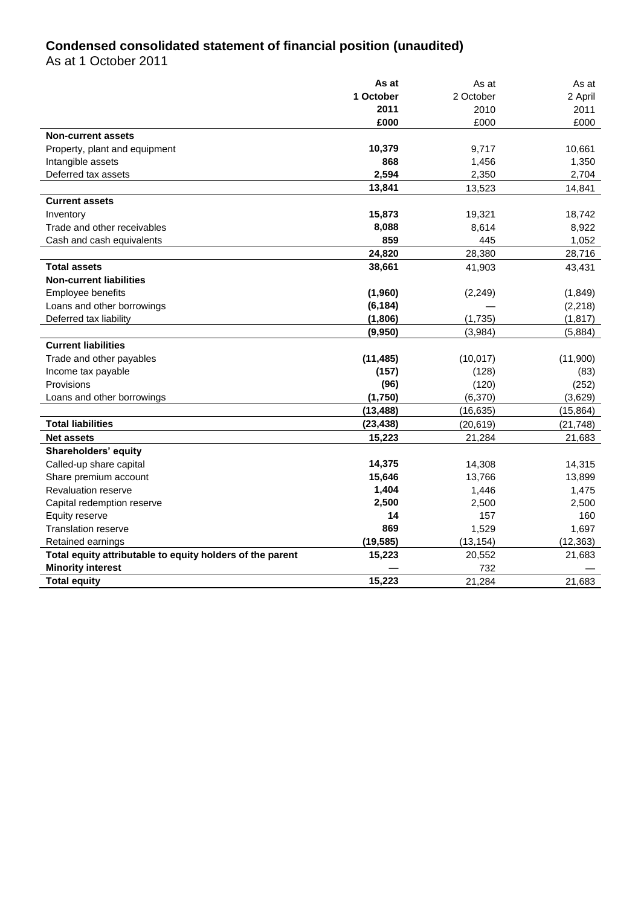# **Condensed consolidated statement of financial position (unaudited)**

As at 1 October 2011

|                                                           | As at     | As at     | As at     |
|-----------------------------------------------------------|-----------|-----------|-----------|
|                                                           | 1 October | 2 October | 2 April   |
|                                                           | 2011      | 2010      | 2011      |
|                                                           | £000      | £000      | £000      |
| <b>Non-current assets</b>                                 |           |           |           |
| Property, plant and equipment                             | 10,379    | 9,717     | 10,661    |
| Intangible assets                                         | 868       | 1,456     | 1,350     |
| Deferred tax assets                                       | 2,594     | 2,350     | 2,704     |
|                                                           | 13,841    | 13,523    | 14,841    |
| <b>Current assets</b>                                     |           |           |           |
| Inventory                                                 | 15,873    | 19,321    | 18,742    |
| Trade and other receivables                               | 8,088     | 8,614     | 8,922     |
| Cash and cash equivalents                                 | 859       | 445       | 1,052     |
|                                                           | 24,820    | 28,380    | 28,716    |
| <b>Total assets</b>                                       | 38,661    | 41,903    | 43,431    |
| <b>Non-current liabilities</b>                            |           |           |           |
| Employee benefits                                         | (1,960)   | (2, 249)  | (1, 849)  |
| Loans and other borrowings                                | (6, 184)  |           | (2, 218)  |
| Deferred tax liability                                    | (1, 806)  | (1,735)   | (1, 817)  |
|                                                           | (9,950)   | (3,984)   | (5,884)   |
| <b>Current liabilities</b>                                |           |           |           |
| Trade and other payables                                  | (11, 485) | (10, 017) | (11,900)  |
| Income tax payable                                        | (157)     | (128)     | (83)      |
| Provisions                                                | (96)      | (120)     | (252)     |
| Loans and other borrowings                                | (1,750)   | (6, 370)  | (3,629)   |
|                                                           | (13, 488) | (16, 635) | (15, 864) |
| <b>Total liabilities</b>                                  | (23, 438) | (20, 619) | (21, 748) |
| <b>Net assets</b>                                         | 15,223    | 21,284    | 21,683    |
| Shareholders' equity                                      |           |           |           |
| Called-up share capital                                   | 14,375    | 14,308    | 14,315    |
| Share premium account                                     | 15,646    | 13,766    | 13,899    |
| Revaluation reserve                                       | 1,404     | 1,446     | 1,475     |
| Capital redemption reserve                                | 2,500     | 2,500     | 2,500     |
| Equity reserve                                            | 14        | 157       | 160       |
| Translation reserve                                       | 869       | 1,529     | 1,697     |
| Retained earnings                                         | (19, 585) | (13, 154) | (12, 363) |
| Total equity attributable to equity holders of the parent | 15,223    | 20,552    | 21,683    |
| <b>Minority interest</b>                                  |           | 732       |           |
| <b>Total equity</b>                                       | 15,223    | 21,284    | 21,683    |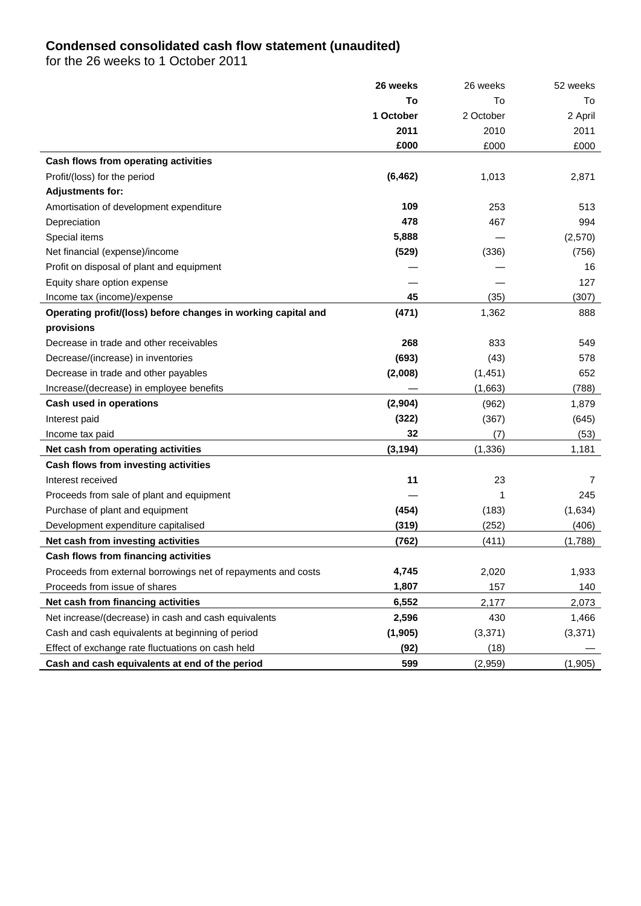### **Condensed consolidated cash flow statement (unaudited)**

for the 26 weeks to 1 October 2011

|                                                               | 26 weeks  | 26 weeks  | 52 weeks |
|---------------------------------------------------------------|-----------|-----------|----------|
|                                                               | To        | То        | To       |
|                                                               | 1 October | 2 October | 2 April  |
|                                                               | 2011      | 2010      | 2011     |
|                                                               | £000      | £000      | £000     |
| Cash flows from operating activities                          |           |           |          |
| Profit/(loss) for the period                                  | (6, 462)  | 1,013     | 2,871    |
| <b>Adjustments for:</b>                                       |           |           |          |
| Amortisation of development expenditure                       | 109       | 253       | 513      |
| Depreciation                                                  | 478       | 467       | 994      |
| Special items                                                 | 5,888     |           | (2,570)  |
| Net financial (expense)/income                                | (529)     | (336)     | (756)    |
| Profit on disposal of plant and equipment                     |           |           | 16       |
| Equity share option expense                                   |           |           | 127      |
| Income tax (income)/expense                                   | 45        | (35)      | (307)    |
| Operating profit/(loss) before changes in working capital and | (471)     | 1,362     | 888      |
| provisions                                                    |           |           |          |
| Decrease in trade and other receivables                       | 268       | 833       | 549      |
| Decrease/(increase) in inventories                            | (693)     | (43)      | 578      |
| Decrease in trade and other payables                          | (2,008)   | (1,451)   | 652      |
| Increase/(decrease) in employee benefits                      |           | (1,663)   | (788)    |
| Cash used in operations                                       | (2,904)   | (962)     | 1,879    |
| Interest paid                                                 | (322)     | (367)     | (645)    |
| Income tax paid                                               | 32        | (7)       | (53)     |
| Net cash from operating activities                            | (3, 194)  | (1, 336)  | 1,181    |
| Cash flows from investing activities                          |           |           |          |
| Interest received                                             | 11        | 23        | 7        |
| Proceeds from sale of plant and equipment                     |           | 1         | 245      |
| Purchase of plant and equipment                               | (454)     | (183)     | (1,634)  |
| Development expenditure capitalised                           | (319)     | (252)     | (406)    |
| Net cash from investing activities                            | (762)     | (411)     | (1,788)  |
| Cash flows from financing activities                          |           |           |          |
| Proceeds from external borrowings net of repayments and costs | 4,745     | 2,020     | 1,933    |
| Proceeds from issue of shares                                 | 1,807     | 157       | 140      |
| Net cash from financing activities                            | 6,552     | 2,177     | 2,073    |
| Net increase/(decrease) in cash and cash equivalents          | 2,596     | 430       | 1,466    |
| Cash and cash equivalents at beginning of period              | (1, 905)  | (3,371)   | (3,371)  |
| Effect of exchange rate fluctuations on cash held             | (92)      | (18)      |          |
| Cash and cash equivalents at end of the period                | 599       | (2,959)   | (1, 905) |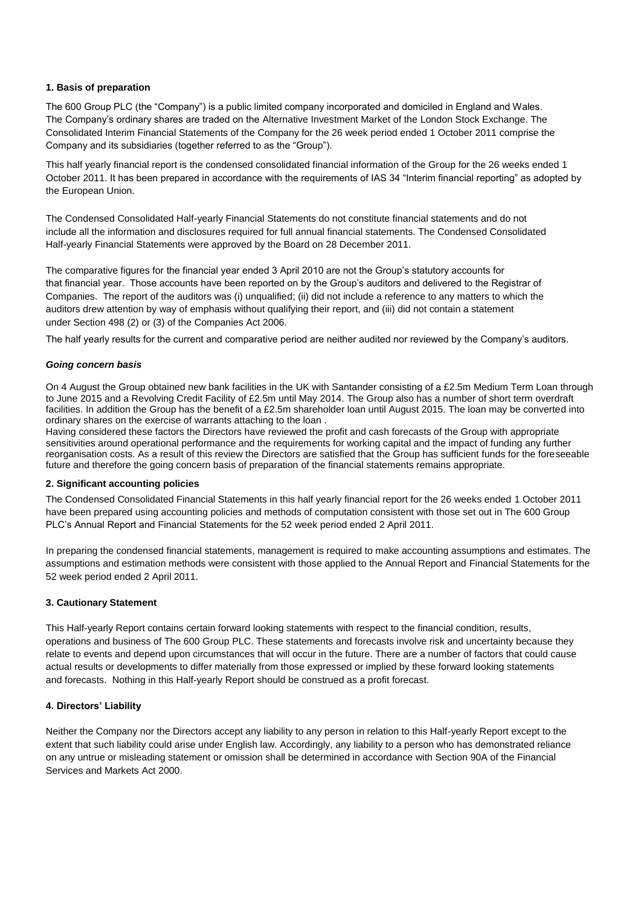#### **1. Basis of preparation**

The 600 Group PLC (the "Company") is a public limited company incorporated and domiciled in England and Wales. The Company's ordinary shares are traded on the Alternative Investment Market of the London Stock Exchange. The Consolidated Interim Financial Statements of the Company for the 26 week period ended 1 October 2011 comprise the Company and its subsidiaries (together referred to as the "Group").

This half yearly financial report is the condensed consolidated financial information of the Group for the 26 weeks ended 1 October 2011. It has been prepared in accordance with the requirements of IAS 34 "Interim financial reporting" as adopted by the European Union.

The Condensed Consolidated Half-yearly Financial Statements do not constitute financial statements and do not include all the information and disclosures required for full annual financial statements. The Condensed Consolidated Half-yearly Financial Statements were approved by the Board on 28 December 2011.

The comparative figures for the financial year ended 3 April 2010 are not the Group's statutory accounts for that financial year. Those accounts have been reported on by the Group's auditors and delivered to the Registrar of Companies. The report of the auditors was (i) unqualified; (ii) did not include a reference to any matters to which the auditors drew attention by way of emphasis without qualifying their report, and (iii) did not contain a statement under Section 498 (2) or (3) of the Companies Act 2006.

The half yearly results for the current and comparative period are neither audited nor reviewed by the Company's auditors.

#### *Going concern basis*

On 4 August the Group obtained new bank facilities in the UK with Santander consisting of a £2.5m Medium Term Loan through to June 2015 and a Revolving Credit Facility of £2.5m until May 2014. The Group also has a number of short term overdraft facilities. In addition the Group has the benefit of a £2.5m shareholder loan until August 2015. The loan may be converted into ordinary shares on the exercise of warrants attaching to the loan .

Having considered these factors the Directors have reviewed the profit and cash forecasts of the Group with appropriate sensitivities around operational performance and the requirements for working capital and the impact of funding any further reorganisation costs. As a result of this review the Directors are satisfied that the Group has sufficient funds for the foreseeable future and therefore the going concern basis of preparation of the financial statements remains appropriate.

#### **2. Significant accounting policies**

The Condensed Consolidated Financial Statements in this half yearly financial report for the 26 weeks ended 1 October 2011 have been prepared using accounting policies and methods of computation consistent with those set out in The 600 Group PLC's Annual Report and Financial Statements for the 52 week period ended 2 April 2011.

In preparing the condensed financial statements, management is required to make accounting assumptions and estimates. The assumptions and estimation methods were consistent with those applied to the Annual Report and Financial Statements for the 52 week period ended 2 April 2011.

#### **3. Cautionary Statement**

This Half-yearly Report contains certain forward looking statements with respect to the financial condition, results, operations and business of The 600 Group PLC. These statements and forecasts involve risk and uncertainty because they relate to events and depend upon circumstances that will occur in the future. There are a number of factors that could cause actual results or developments to differ materially from those expressed or implied by these forward looking statements and forecasts. Nothing in this Half-yearly Report should be construed as a profit forecast.

#### **4. Directors' Liability**

Neither the Company nor the Directors accept any liability to any person in relation to this Half-yearly Report except to the extent that such liability could arise under English law. Accordingly, any liability to a person who has demonstrated reliance on any untrue or misleading statement or omission shall be determined in accordance with Section 90A of the Financial Services and Markets Act 2000.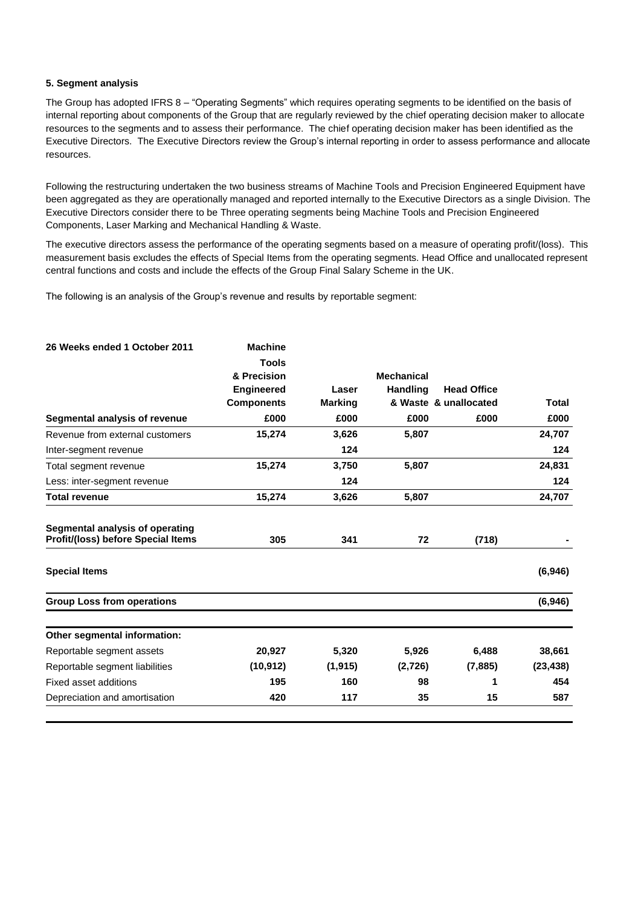#### **5. Segment analysis**

The Group has adopted IFRS 8 – "Operating Segments" which requires operating segments to be identified on the basis of internal reporting about components of the Group that are regularly reviewed by the chief operating decision maker to allocate resources to the segments and to assess their performance. The chief operating decision maker has been identified as the Executive Directors. The Executive Directors review the Group's internal reporting in order to assess performance and allocate resources.

Following the restructuring undertaken the two business streams of Machine Tools and Precision Engineered Equipment have been aggregated as they are operationally managed and reported internally to the Executive Directors as a single Division. The Executive Directors consider there to be Three operating segments being Machine Tools and Precision Engineered Components, Laser Marking and Mechanical Handling & Waste.

The executive directors assess the performance of the operating segments based on a measure of operating profit/(loss). This measurement basis excludes the effects of Special Items from the operating segments. Head Office and unallocated represent central functions and costs and include the effects of the Group Final Salary Scheme in the UK.

The following is an analysis of the Group's revenue and results by reportable segment:

| 26 Weeks ended 1 October 2011                                         | <b>Machine</b>                                 |                                 |                                              |                                                     |               |
|-----------------------------------------------------------------------|------------------------------------------------|---------------------------------|----------------------------------------------|-----------------------------------------------------|---------------|
|                                                                       | <b>Tools</b>                                   |                                 |                                              |                                                     |               |
|                                                                       | & Precision                                    | Laser<br><b>Marking</b><br>£000 | <b>Mechanical</b><br><b>Handling</b><br>£000 | <b>Head Office</b><br>& Waste & unallocated<br>£000 |               |
|                                                                       | <b>Engineered</b><br><b>Components</b><br>£000 |                                 |                                              |                                                     | Total<br>£000 |
| Segmental analysis of revenue                                         |                                                |                                 |                                              |                                                     |               |
|                                                                       |                                                |                                 |                                              |                                                     |               |
| Inter-segment revenue                                                 |                                                | 124                             |                                              |                                                     | 124           |
| Total segment revenue                                                 | 15,274                                         | 3,750                           | 5,807                                        |                                                     | 24,831        |
| Less: inter-segment revenue                                           |                                                | 124                             |                                              |                                                     | 124           |
| Total revenue                                                         | 15,274                                         | 3,626                           | 5,807                                        |                                                     | 24,707        |
| Segmental analysis of operating<br>Profit/(loss) before Special Items | 305                                            | 341                             | 72                                           | (718)                                               |               |
| <b>Special Items</b>                                                  |                                                |                                 |                                              |                                                     | (6, 946)      |
| <b>Group Loss from operations</b>                                     |                                                |                                 |                                              |                                                     | (6, 946)      |
| Other segmental information:                                          |                                                |                                 |                                              |                                                     |               |
| Reportable segment assets                                             | 20,927                                         | 5,320                           | 5,926                                        | 6,488                                               | 38,661        |
| Reportable segment liabilities                                        | (10, 912)                                      | (1, 915)                        | (2,726)                                      | (7, 885)                                            | (23, 438)     |
| Fixed asset additions                                                 | 195                                            | 160                             | 98                                           | 1                                                   | 454           |
| Depreciation and amortisation                                         | 420                                            | 117                             | 35                                           | 15                                                  | 587           |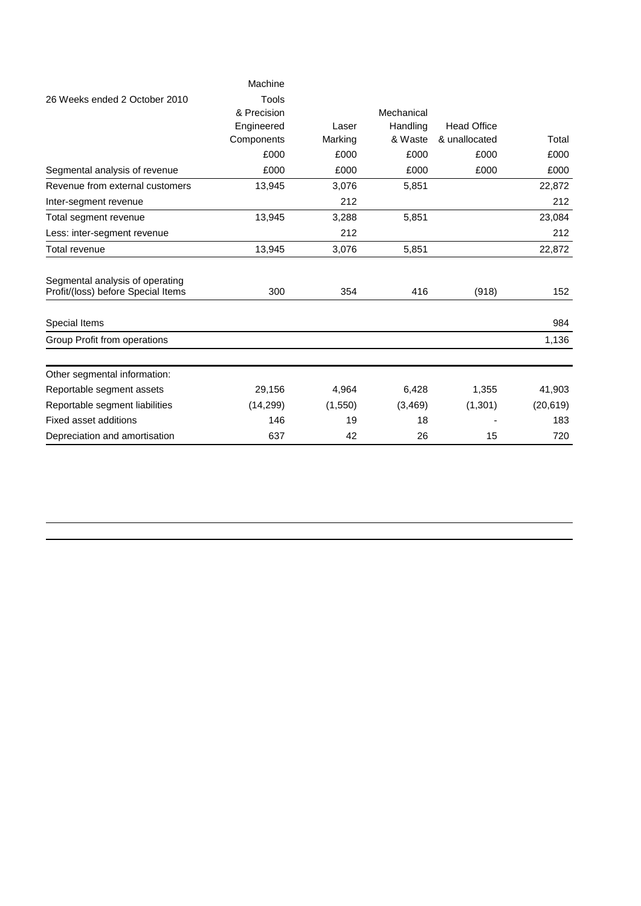|                                    | Machine     |         |            |                    |           |
|------------------------------------|-------------|---------|------------|--------------------|-----------|
| 26 Weeks ended 2 October 2010      | Tools       |         |            |                    |           |
|                                    | & Precision |         | Mechanical |                    |           |
|                                    | Engineered  | Laser   | Handling   | <b>Head Office</b> |           |
|                                    | Components  | Marking | & Waste    | & unallocated      | Total     |
|                                    | £000        | £000    | £000       | £000               | £000      |
| Segmental analysis of revenue      | £000        | £000    | £000       | £000               | £000      |
| Revenue from external customers    | 13,945      | 3,076   | 5,851      |                    | 22,872    |
| Inter-segment revenue              |             | 212     |            |                    | 212       |
| Total segment revenue              | 13,945      | 3,288   | 5,851      |                    | 23,084    |
| Less: inter-segment revenue        |             | 212     |            |                    | 212       |
| Total revenue                      | 13,945      | 3,076   | 5,851      |                    | 22,872    |
| Segmental analysis of operating    |             |         |            |                    |           |
| Profit/(loss) before Special Items | 300         | 354     | 416        | (918)              | 152       |
| Special Items                      |             |         |            |                    | 984       |
| Group Profit from operations       |             |         |            |                    | 1,136     |
| Other segmental information:       |             |         |            |                    |           |
| Reportable segment assets          | 29,156      | 4,964   | 6,428      | 1,355              | 41,903    |
| Reportable segment liabilities     | (14, 299)   | (1,550) | (3, 469)   | (1,301)            | (20, 619) |
| <b>Fixed asset additions</b>       | 146         | 19      | 18         |                    | 183       |
| Depreciation and amortisation      | 637         | 42      | 26         | 15                 | 720       |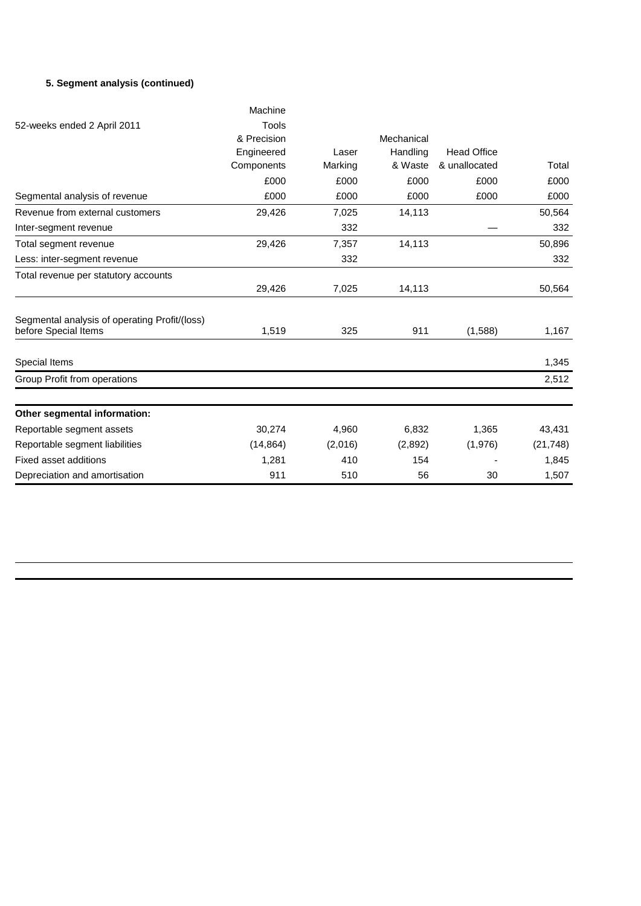# **5. Segment analysis (continued)**

|                                                                       | Machine     |         |            |                    |           |
|-----------------------------------------------------------------------|-------------|---------|------------|--------------------|-----------|
| 52-weeks ended 2 April 2011                                           | Tools       |         |            |                    |           |
|                                                                       | & Precision |         | Mechanical |                    |           |
|                                                                       | Engineered  | Laser   | Handling   | <b>Head Office</b> |           |
|                                                                       | Components  | Marking | & Waste    | & unallocated      | Total     |
|                                                                       | £000        | £000    | £000       | £000               | £000      |
| Segmental analysis of revenue                                         | £000        | £000    | £000       | £000               | £000      |
| Revenue from external customers                                       | 29,426      | 7,025   | 14,113     |                    | 50,564    |
| Inter-segment revenue                                                 |             | 332     |            |                    | 332       |
| Total segment revenue                                                 | 29,426      | 7,357   | 14,113     |                    | 50,896    |
| Less: inter-segment revenue                                           |             | 332     |            |                    | 332       |
| Total revenue per statutory accounts                                  |             |         |            |                    |           |
|                                                                       | 29,426      | 7,025   | 14,113     |                    | 50,564    |
| Segmental analysis of operating Profit/(loss)<br>before Special Items | 1,519       | 325     | 911        | (1,588)            | 1,167     |
| Special Items                                                         |             |         |            |                    | 1,345     |
| Group Profit from operations                                          |             |         |            |                    | 2,512     |
| Other segmental information:                                          |             |         |            |                    |           |
| Reportable segment assets                                             | 30,274      | 4,960   | 6,832      | 1,365              | 43,431    |
| Reportable segment liabilities                                        | (14, 864)   | (2,016) | (2,892)    | (1,976)            | (21, 748) |
| Fixed asset additions                                                 | 1,281       | 410     | 154        |                    | 1,845     |
| Depreciation and amortisation                                         | 911         | 510     | 56         | 30                 | 1,507     |